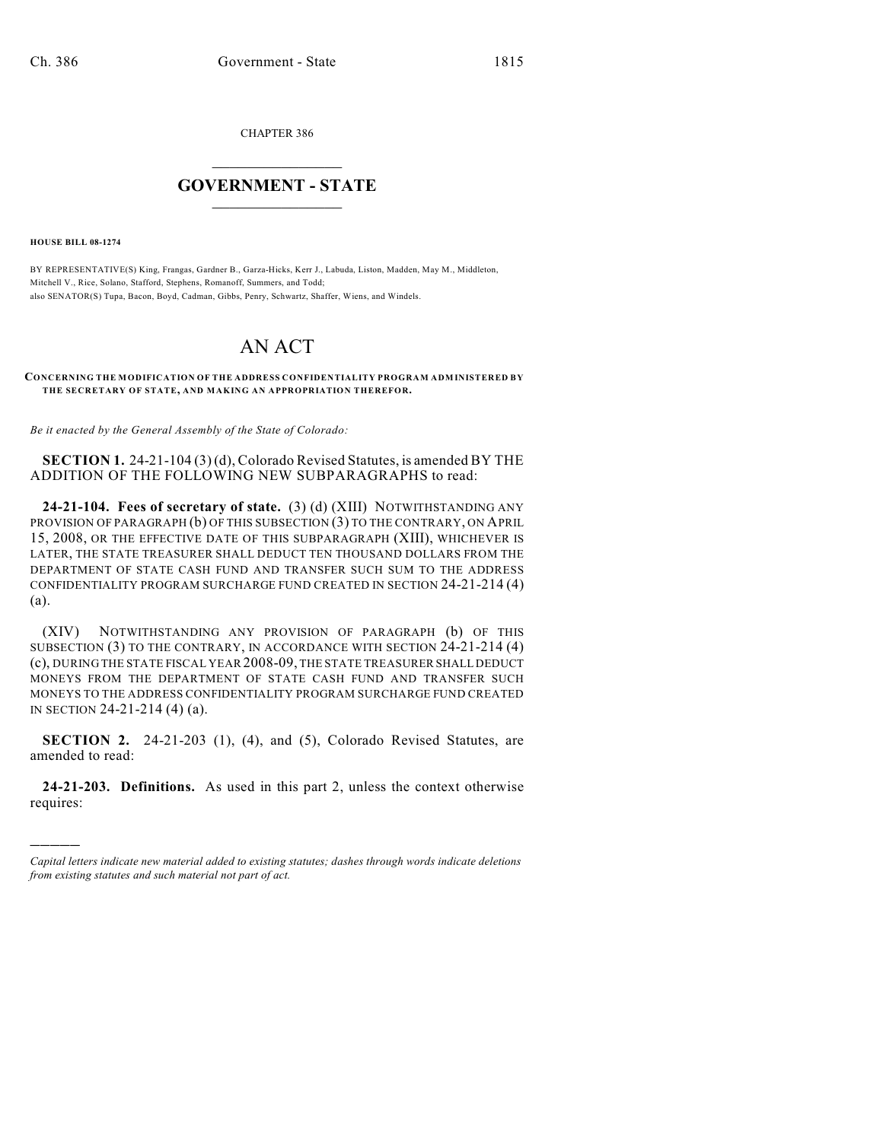CHAPTER 386

## $\overline{\phantom{a}}$  . The set of the set of the set of the set of the set of the set of the set of the set of the set of the set of the set of the set of the set of the set of the set of the set of the set of the set of the set o **GOVERNMENT - STATE**  $\_$

**HOUSE BILL 08-1274**

)))))

BY REPRESENTATIVE(S) King, Frangas, Gardner B., Garza-Hicks, Kerr J., Labuda, Liston, Madden, May M., Middleton, Mitchell V., Rice, Solano, Stafford, Stephens, Romanoff, Summers, and Todd; also SENATOR(S) Tupa, Bacon, Boyd, Cadman, Gibbs, Penry, Schwartz, Shaffer, Wiens, and Windels.

## AN ACT

## **CONCERNING THE MODIFICATION OF THE ADDRESS CONFIDENTIALITY PROGRAM ADMINISTERED BY THE SECRETARY OF STATE, AND MAKING AN APPROPRIATION THEREFOR.**

*Be it enacted by the General Assembly of the State of Colorado:*

**SECTION 1.** 24-21-104 (3) (d), Colorado Revised Statutes, is amended BY THE ADDITION OF THE FOLLOWING NEW SUBPARAGRAPHS to read:

**24-21-104. Fees of secretary of state.** (3) (d) (XIII) NOTWITHSTANDING ANY PROVISION OF PARAGRAPH (b) OF THIS SUBSECTION (3) TO THE CONTRARY, ON APRIL 15, 2008, OR THE EFFECTIVE DATE OF THIS SUBPARAGRAPH (XIII), WHICHEVER IS LATER, THE STATE TREASURER SHALL DEDUCT TEN THOUSAND DOLLARS FROM THE DEPARTMENT OF STATE CASH FUND AND TRANSFER SUCH SUM TO THE ADDRESS CONFIDENTIALITY PROGRAM SURCHARGE FUND CREATED IN SECTION 24-21-214 (4) (a).

(XIV) NOTWITHSTANDING ANY PROVISION OF PARAGRAPH (b) OF THIS SUBSECTION (3) TO THE CONTRARY, IN ACCORDANCE WITH SECTION 24-21-214 (4) (c), DURING THE STATE FISCAL YEAR 2008-09, THE STATE TREASURER SHALL DEDUCT MONEYS FROM THE DEPARTMENT OF STATE CASH FUND AND TRANSFER SUCH MONEYS TO THE ADDRESS CONFIDENTIALITY PROGRAM SURCHARGE FUND CREATED IN SECTION 24-21-214 (4) (a).

**SECTION 2.** 24-21-203 (1), (4), and (5), Colorado Revised Statutes, are amended to read:

**24-21-203. Definitions.** As used in this part 2, unless the context otherwise requires:

*Capital letters indicate new material added to existing statutes; dashes through words indicate deletions from existing statutes and such material not part of act.*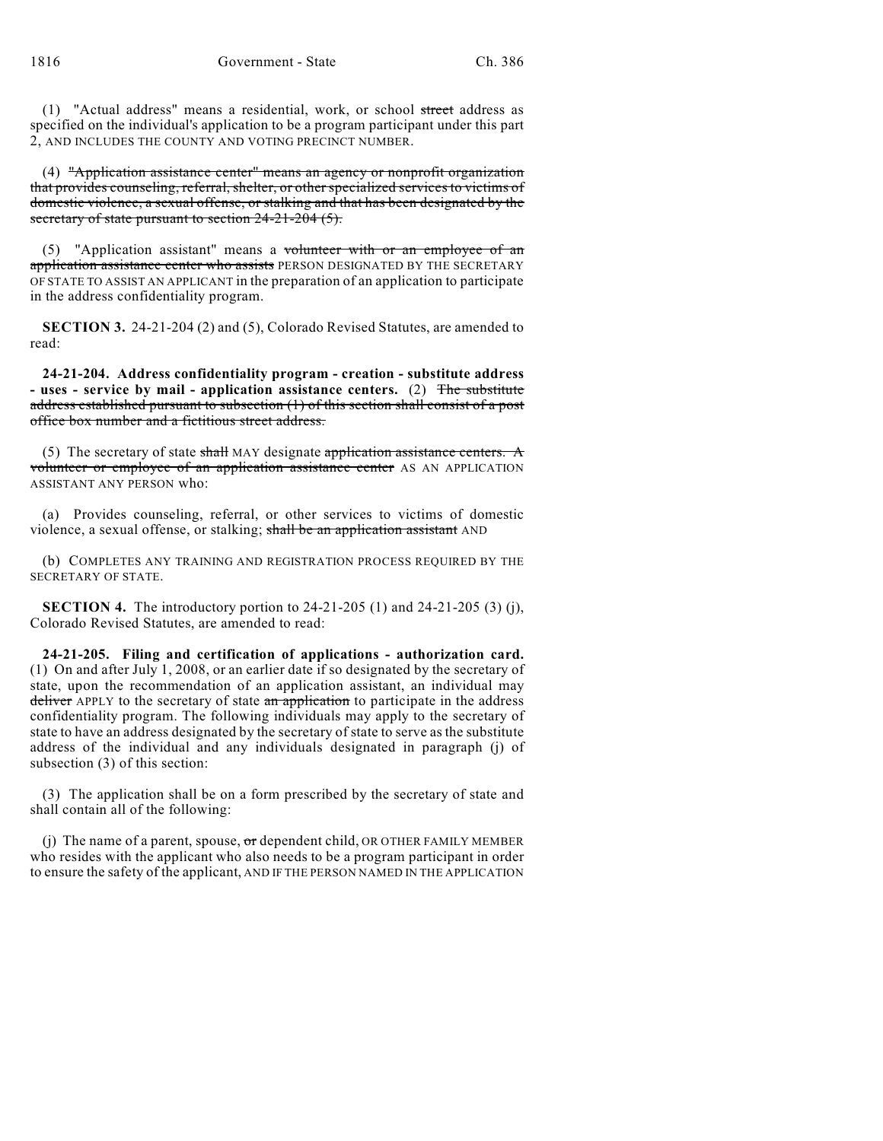(1) "Actual address" means a residential, work, or school street address as specified on the individual's application to be a program participant under this part 2, AND INCLUDES THE COUNTY AND VOTING PRECINCT NUMBER.

(4) "Application assistance center" means an agency or nonprofit organization that provides counseling, referral, shelter, or other specialized services to victims of domestic violence, a sexual offense, or stalking and that has been designated by the secretary of state pursuant to section 24-21-204 (5).

(5) "Application assistant" means a volunteer with or an employee of an application assistance center who assists PERSON DESIGNATED BY THE SECRETARY OF STATE TO ASSIST AN APPLICANT in the preparation of an application to participate in the address confidentiality program.

**SECTION 3.** 24-21-204 (2) and (5), Colorado Revised Statutes, are amended to read:

**24-21-204. Address confidentiality program - creation - substitute address - uses - service by mail - application assistance centers.** (2) The substitute address established pursuant to subsection (1) of this section shall consist of a post office box number and a fictitious street address.

(5) The secretary of state shall MAY designate application assistance centers. A volunteer or employee of an application assistance center AS AN APPLICATION ASSISTANT ANY PERSON who:

(a) Provides counseling, referral, or other services to victims of domestic violence, a sexual offense, or stalking; shall be an application assistant AND

(b) COMPLETES ANY TRAINING AND REGISTRATION PROCESS REQUIRED BY THE SECRETARY OF STATE.

**SECTION 4.** The introductory portion to 24-21-205 (1) and 24-21-205 (3) (j), Colorado Revised Statutes, are amended to read:

**24-21-205. Filing and certification of applications - authorization card.** (1) On and after July 1, 2008, or an earlier date if so designated by the secretary of state, upon the recommendation of an application assistant, an individual may deliver APPLY to the secretary of state an application to participate in the address confidentiality program. The following individuals may apply to the secretary of state to have an address designated by the secretary of state to serve as the substitute address of the individual and any individuals designated in paragraph (j) of subsection (3) of this section:

(3) The application shall be on a form prescribed by the secretary of state and shall contain all of the following:

(j) The name of a parent, spouse,  $\sigma r$  dependent child, OR OTHER FAMILY MEMBER who resides with the applicant who also needs to be a program participant in order to ensure the safety of the applicant, AND IF THE PERSON NAMED IN THE APPLICATION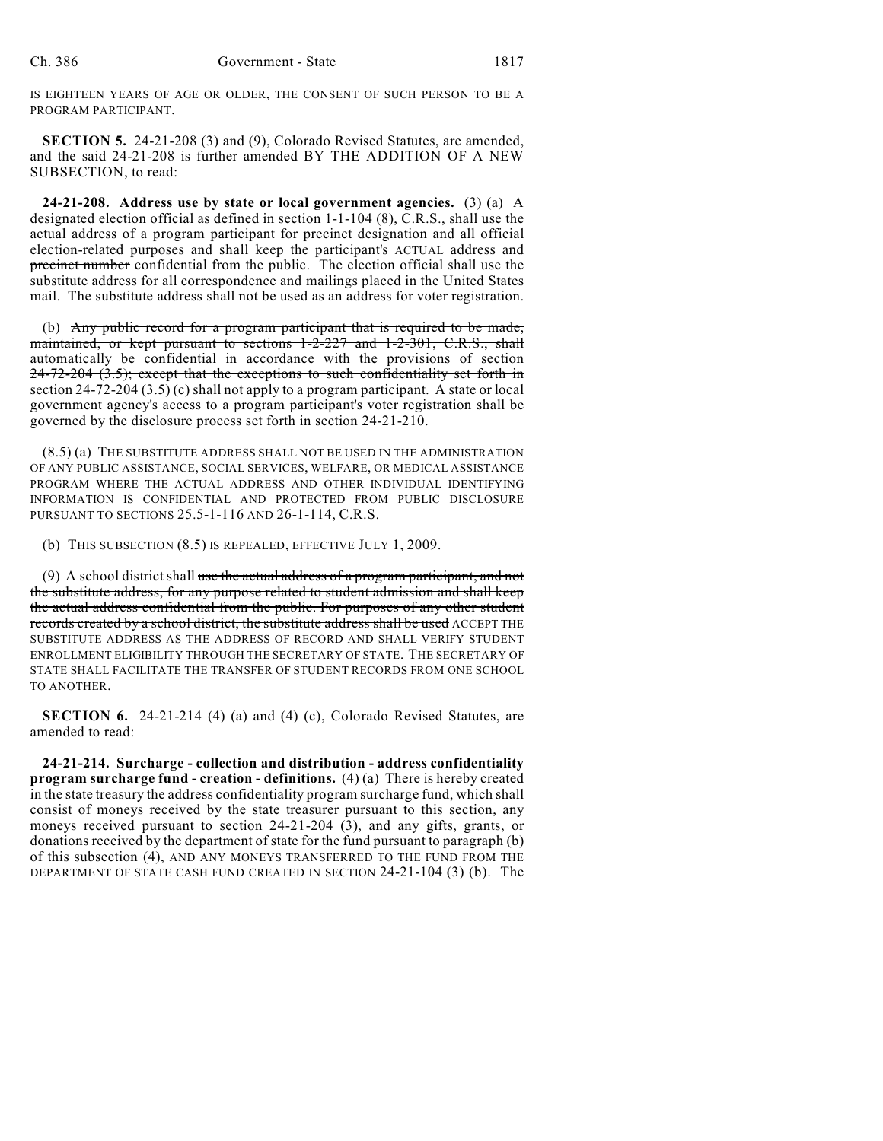IS EIGHTEEN YEARS OF AGE OR OLDER, THE CONSENT OF SUCH PERSON TO BE A PROGRAM PARTICIPANT.

**SECTION 5.** 24-21-208 (3) and (9), Colorado Revised Statutes, are amended, and the said 24-21-208 is further amended BY THE ADDITION OF A NEW SUBSECTION, to read:

**24-21-208. Address use by state or local government agencies.** (3) (a) A designated election official as defined in section 1-1-104 (8), C.R.S., shall use the actual address of a program participant for precinct designation and all official election-related purposes and shall keep the participant's ACTUAL address and precinct number confidential from the public. The election official shall use the substitute address for all correspondence and mailings placed in the United States mail. The substitute address shall not be used as an address for voter registration.

(b) Any public record for a program participant that is required to be made, maintained, or kept pursuant to sections 1-2-227 and 1-2-301, C.R.S., shall automatically be confidential in accordance with the provisions of section 24-72-204 (3.5); except that the exceptions to such confidentiality set forth in section  $24-72-204$   $(3.5)$  (c) shall not apply to a program participant. A state or local government agency's access to a program participant's voter registration shall be governed by the disclosure process set forth in section 24-21-210.

(8.5) (a) THE SUBSTITUTE ADDRESS SHALL NOT BE USED IN THE ADMINISTRATION OF ANY PUBLIC ASSISTANCE, SOCIAL SERVICES, WELFARE, OR MEDICAL ASSISTANCE PROGRAM WHERE THE ACTUAL ADDRESS AND OTHER INDIVIDUAL IDENTIFYING INFORMATION IS CONFIDENTIAL AND PROTECTED FROM PUBLIC DISCLOSURE PURSUANT TO SECTIONS 25.5-1-116 AND 26-1-114, C.R.S.

(b) THIS SUBSECTION (8.5) IS REPEALED, EFFECTIVE JULY 1, 2009.

(9) A school district shall use the actual address of a program participant, and not the substitute address, for any purpose related to student admission and shall keep the actual address confidential from the public. For purposes of any other student records created by a school district, the substitute address shall be used ACCEPT THE SUBSTITUTE ADDRESS AS THE ADDRESS OF RECORD AND SHALL VERIFY STUDENT ENROLLMENT ELIGIBILITY THROUGH THE SECRETARY OF STATE. THE SECRETARY OF STATE SHALL FACILITATE THE TRANSFER OF STUDENT RECORDS FROM ONE SCHOOL TO ANOTHER.

**SECTION 6.** 24-21-214 (4) (a) and (4) (c), Colorado Revised Statutes, are amended to read:

**24-21-214. Surcharge - collection and distribution - address confidentiality program surcharge fund - creation - definitions.** (4) (a) There is hereby created in the state treasury the address confidentiality program surcharge fund, which shall consist of moneys received by the state treasurer pursuant to this section, any moneys received pursuant to section  $24-21-204$  (3), and any gifts, grants, or donations received by the department of state for the fund pursuant to paragraph (b) of this subsection (4), AND ANY MONEYS TRANSFERRED TO THE FUND FROM THE DEPARTMENT OF STATE CASH FUND CREATED IN SECTION 24-21-104 (3) (b). The